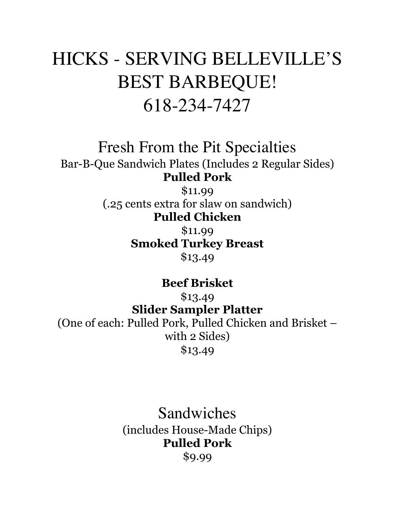# HICKS - SERVING BELLEVILLE'S BEST BARBEQUE! 618-234-7427

Fresh From the Pit Specialties Bar-B-Que Sandwich Plates (Includes 2 Regular Sides) **Pulled Pork**

\$11.99 (.25 cents extra for slaw on sandwich) **Pulled Chicken**

> \$11.99 **Smoked Turkey Breast** \$13.49

> > **Beef Brisket**

\$13.49 **Slider Sampler Platter** (One of each: Pulled Pork, Pulled Chicken and Brisket – with 2 Sides) \$13.49

> Sandwiches (includes House-Made Chips) **Pulled Pork** \$9.99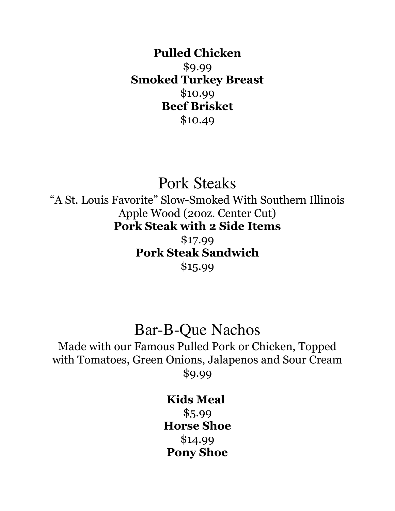**Pulled Chicken** \$9.99 **Smoked Turkey Breast** \$10.99 **Beef Brisket** \$10.49

Pork Steaks "A St. Louis Favorite" Slow-Smoked With Southern Illinois Apple Wood (20oz. Center Cut) **Pork Steak with 2 Side Items**

\$17.99 **Pork Steak Sandwich** \$15.99

## Bar-B-Que Nachos

Made with our Famous Pulled Pork or Chicken, Topped with Tomatoes, Green Onions, Jalapenos and Sour Cream \$9.99

### **Kids Meal**

\$5.99 **Horse Shoe** \$14.99 **Pony Shoe**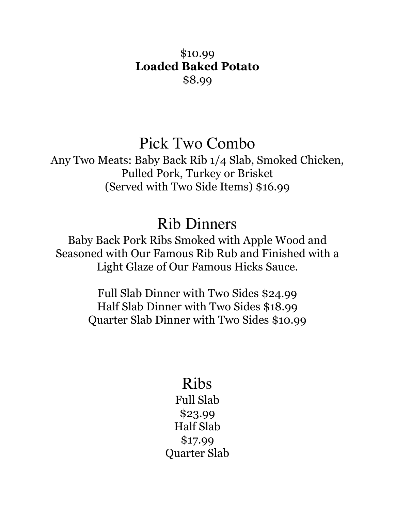### \$10.99 **Loaded Baked Potato** \$8.99

## Pick Two Combo

Any Two Meats: Baby Back Rib 1/4 Slab, Smoked Chicken, Pulled Pork, Turkey or Brisket (Served with Two Side Items) \$16.99

## Rib Dinners

Baby Back Pork Ribs Smoked with Apple Wood and Seasoned with Our Famous Rib Rub and Finished with a Light Glaze of Our Famous Hicks Sauce.

> Full Slab Dinner with Two Sides \$24.99 Half Slab Dinner with Two Sides \$18.99 Quarter Slab Dinner with Two Sides \$10.99

# Ribs

Full Slab \$23.99 Half Slab \$17.99 Quarter Slab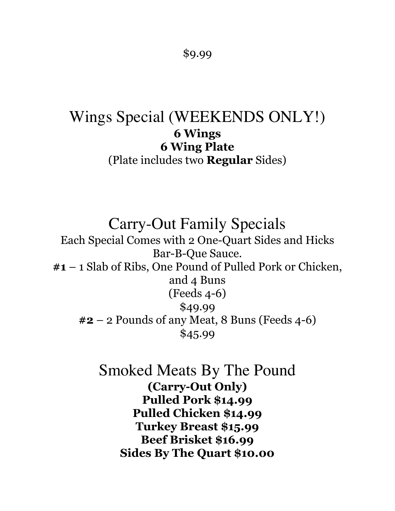#### \$9.99

## Wings Special (WEEKENDS ONLY!) **6 Wings 6 Wing Plate** (Plate includes two **Regular** Sides)

Carry-Out Family Specials

Each Special Comes with 2 One-Quart Sides and Hicks Bar-B-Que Sauce. **#1** – 1 Slab of Ribs, One Pound of Pulled Pork or Chicken, and 4 Buns (Feeds 4-6) \$49.99 **#2** – 2 Pounds of any Meat, 8 Buns (Feeds 4-6) \$45.99

> Smoked Meats By The Pound **(Carry-Out Only) Pulled Pork \$14.99 Pulled Chicken \$14.99 Turkey Breast \$15.99 Beef Brisket \$16.99 Sides By The Quart \$10.00**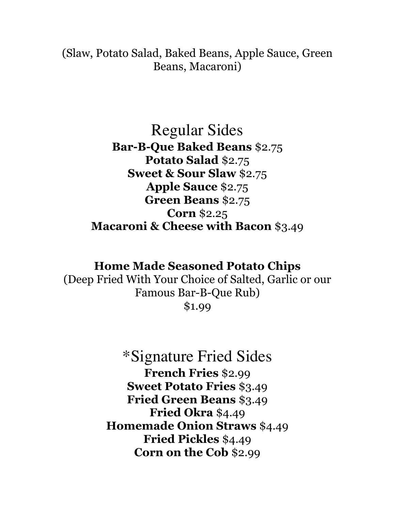(Slaw, Potato Salad, Baked Beans, Apple Sauce, Green Beans, Macaroni)

### Regular Sides **Bar-B-Que Baked Beans** \$2.75 **Potato Salad** \$2.75 **Sweet & Sour Slaw** \$2.75 **Apple Sauce** \$2.75 **Green Beans** \$2.75 **Corn** \$2.25 **Macaroni & Cheese with Bacon** \$3.49

#### **Home Made Seasoned Potato Chips**

(Deep Fried With Your Choice of Salted, Garlic or our Famous Bar-B-Que Rub) \$1.99

> \*Signature Fried Sides **French Fries** \$2.99 **Sweet Potato Fries** \$3.49 **Fried Green Beans** \$3.49 **Fried Okra** \$4.49 **Homemade Onion Straws** \$4.49 **Fried Pickles** \$4.49 **Corn on the Cob** \$2.99